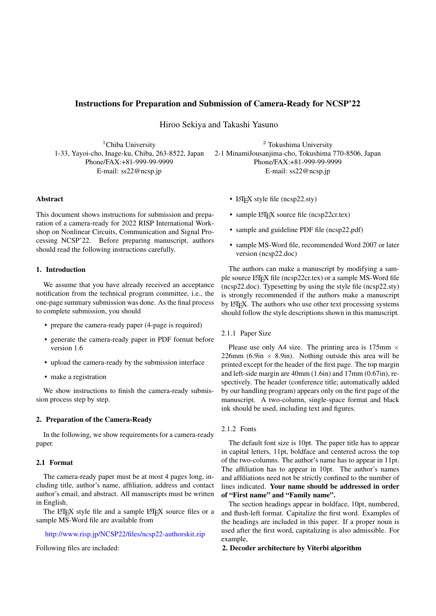## Instructions for Preparation and Submission of Camera-Ready for NCSP'22

Hiroo Sekiya and Takashi Yasuno

<sup>1</sup>Chiba University 1-33, Yayoi-cho, Inage-ku, Chiba, 263-8522, Japan Phone/FAX:+81-999-99-9999 E-mail: ss22@ncsp.jp

<sup>2</sup> Tokushima University 2-1 MinamiJousanjima-cho, Tokushima 770-8506, Japan Phone/FAX:+81-999-99-9999 E-mail: ss22@ncsp.jp

#### Abstract

This document shows instructions for submission and preparation of a camera-ready for 2022 RISP International Workshop on Nonlinear Circuits, Communication and Signal Processing NCSP'22. Before preparing manuscript, authors should read the following instructions carefully.

#### 1. Introduction

We assume that you have already received an acceptance notification from the technical program committee, i.e., the one-page summary submission was done. As the final process to complete submission, you should

- prepare the camera-ready paper (4-page is required)
- generate the camera-ready paper in PDF format before version 1.6
- upload the camera-ready by the submission interface
- make a registration

We show instructions to finish the camera-ready submission process step by step.

# 2. Preparation of the Camera-Ready

In the following, we show requirements for a camera-ready paper.

#### 2.1 Format

The camera-ready paper must be at most 4 pages long, including title, author's name, affiliation, address and contact author's email, and abstract. All manuscripts must be written in English.

The LATEX style file and a sample LATEX source files or a sample MS-Word file are available from

### http://www.risp.jp/NCSP22/files/ncsp22-authorskit.zip

Following files are included:

- LAT<sub>E</sub>X style file (ncsp22.sty)
- sample LAT<sub>EX</sub> source file (ncsp22cr.tex)
- sample and guideline PDF file (ncsp22.pdf)
- sample MS-Word file, recommended Word 2007 or later version (ncsp22.doc)

The authors can make a manuscript by modifying a sample source LAT<sub>E</sub>X file (ncsp22cr.tex) or a sample MS-Word file (ncsp22.doc). Typesetting by using the style file (ncsp22.sty) is strongly recommended if the authors make a manuscript by L<sup>A</sup>T<sub>E</sub>X. The authors who use other text processing systems should follow the style descriptions shown in this manuscript.

### 2.1.1 Paper Size

Please use only A4 size. The printing area is 175mm *×* 226mm (6.9in  $\times$  8.9in). Nothing outside this area will be printed except for the header of the first page. The top margin and left-side margin are 40mm (1.6in) and 17mm (0.67in), respectively. The header (conference title; automatically added by our handling program) appears only on the first page of the manuscript. A two-column, single-space format and black ink should be used, including text and figures.

### 2.1.2 Fonts

The default font size is 10pt. The paper title has to appear in capital letters, 11pt, boldface and centered across the top of the two-columns. The author's name has to appear in 11pt. The affiliation has to appear in 10pt. The author's names and affiliations need not be strictly confined to the number of lines indicated. Your name should be addressed in order of "First name" and "Family name".

The section headings appear in boldface, 10pt, numbered, and flush-left format. Capitalize the first word. Examples of the headings are included in this paper. If a proper noun is used after the first word, capitalizing is also admissible. For example,

2. Decoder architecture by Viterbi algorithm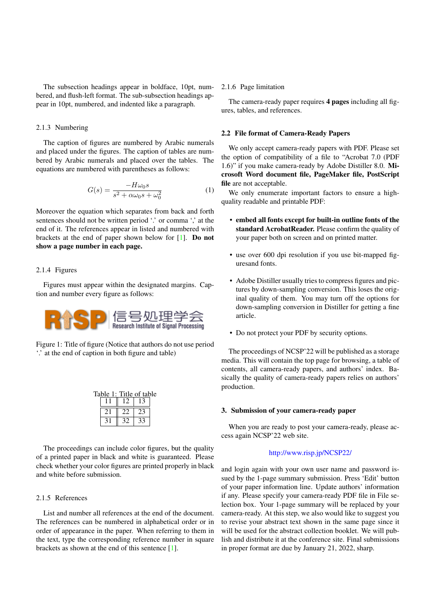The subsection headings appear in boldface, 10pt, numbered, and flush-left format. The sub-subsection headings appear in 10pt, numbered, and indented like a paragraph.

# 2.1.3 Numbering

The caption of figures are numbered by Arabic numerals and placed under the figures. The caption of tables are numbered by Arabic numerals and placed over the tables. The equations are numbered with parentheses as follows:

$$
G(s) = \frac{-H\omega_0 s}{s^2 + \alpha\omega_0 s + \omega_0^2}
$$
 (1)

Moreover the equation which separates from back and forth sentences should not be written period '.' or comma ',' at the end of it. The references appear in listed and numbered with brackets at the end of paper shown below for [1]. Do not show a page number in each page.

### 2.1.4 Figures

Figures must appear within the designated margins. Caption and number every figure as follows:



Figure 1: Title of figure (Notice that authors do not use period '.' at the end of caption in both figure and table)

| Table 1: Title of table |  |  |  |  |
|-------------------------|--|--|--|--|
|                         |  |  |  |  |
|                         |  |  |  |  |
|                         |  |  |  |  |

The proceedings can include color figures, but the quality of a printed paper in black and white is guaranteed. Please check whether your color figures are printed properly in black and white before submission.

### 2.1.5 References

List and number all references at the end of the document. The references can be numbered in alphabetical order or in order of appearance in the paper. When referring to them in the text, type the corresponding reference number in square brackets as shown at the end of this sentence [1].

### 2.1.6 Page limitation

The camera-ready paper requires 4 pages including all figures, tables, and references.

#### 2.2 File format of Camera-Ready Papers

We only accept camera-ready papers with PDF. Please set the option of compatibility of a file to "Acrobat 7.0 (PDF 1.6)" if you make camera-ready by Adobe Distiller 8.0. Microsoft Word document file, PageMaker file, PostScript file are not acceptable.

We only enumerate important factors to ensure a highquality readable and printable PDF:

- embed all fonts except for built-in outline fonts of the standard AcrobatReader. Please confirm the quality of your paper both on screen and on printed matter.
- use over 600 dpi resolution if you use bit-mapped figuresand fonts.
- Adobe Distiller usually tries to compress figures and pictures by down-sampling conversion. This loses the original quality of them. You may turn off the options for down-sampling conversion in Distiller for getting a fine article.
- Do not protect your PDF by security options.

The proceedings of NCSP'22 will be published as a storage media. This will contain the top page for browsing, a table of contents, all camera-ready papers, and authors' index. Basically the quality of camera-ready papers relies on authors' production.

#### 3. Submission of your camera-ready paper

When you are ready to post your camera-ready, please access again NCSP'22 web site.

#### http://www.risp.jp/NCSP22/

and login again with your own user name and password issued by the 1-page summary submission. Press 'Edit' button of your paper i[nformation line. Update autho](http://www.risp.jp/NCSP22/)rs' information if any. Please specify your camera-ready PDF file in File selection box. Your 1-page summary will be replaced by your camera-ready. At this step, we also would like to suggest you to revise your abstract text shown in the same page since it will be used for the abstract collection booklet. We will publish and distribute it at the conference site. Final submissions in proper format are due by January 21, 2022, sharp.